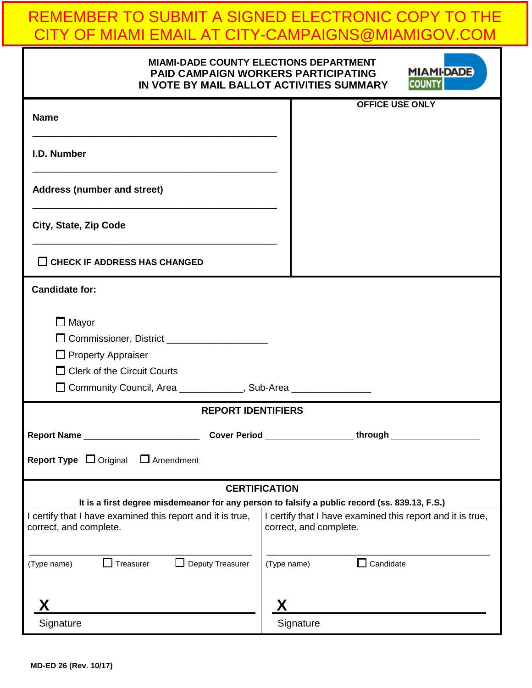# REMEMBER TO SUBMIT A SIGNED ELECTRONIC COPY TO THE CITY OF MIAMI EMAIL AT CITY-CAMPAIGNS@MIAMIGOV.COM

| <b>MIAMI-DADE COUNTY ELECTIONS DEPARTMENT</b><br><b>MIAMI-DADE</b><br><b>PAID CAMPAIGN WORKERS PARTICIPATING</b><br><b>COUNTY</b><br>IN VOTE BY MAIL BALLOT ACTIVITIES SUMMARY        |                           |                                                                                      |  |  |
|---------------------------------------------------------------------------------------------------------------------------------------------------------------------------------------|---------------------------|--------------------------------------------------------------------------------------|--|--|
| <b>Name</b>                                                                                                                                                                           |                           | <b>OFFICE USE ONLY</b>                                                               |  |  |
| I.D. Number<br><u> 1989 - Johann Barbara, margaret eta idazlea (h. 1989).</u>                                                                                                         |                           |                                                                                      |  |  |
| <b>Address (number and street)</b>                                                                                                                                                    |                           |                                                                                      |  |  |
| City, State, Zip Code                                                                                                                                                                 |                           |                                                                                      |  |  |
| $\Box$ CHECK IF ADDRESS HAS CHANGED                                                                                                                                                   |                           |                                                                                      |  |  |
| <b>Candidate for:</b>                                                                                                                                                                 |                           |                                                                                      |  |  |
| $\Box$ Mayor<br>$\Box$ Property Appraiser<br>$\Box$ Clerk of the Circuit Courts                                                                                                       |                           |                                                                                      |  |  |
| □ Community Council, Area ____________, Sub-Area _______________                                                                                                                      |                           |                                                                                      |  |  |
|                                                                                                                                                                                       | <b>REPORT IDENTIFIERS</b> |                                                                                      |  |  |
| <b>Report Name</b><br><b>Cover Period</b>                                                                                                                                             |                           | through                                                                              |  |  |
| <b>Report Type</b> $\Box$ Original<br>$\Box$ Amendment                                                                                                                                |                           |                                                                                      |  |  |
|                                                                                                                                                                                       | <b>CERTIFICATION</b>      |                                                                                      |  |  |
| It is a first degree misdemeanor for any person to falsify a public record (ss. 839.13, F.S.)<br>I certify that I have examined this report and it is true,<br>correct, and complete. |                           | I certify that I have examined this report and it is true,<br>correct, and complete. |  |  |
| $\Box$ Treasurer<br>Deputy Treasurer<br>(Type name)                                                                                                                                   | (Type name)               | $\Box$ Candidate                                                                     |  |  |
|                                                                                                                                                                                       |                           |                                                                                      |  |  |
| Signature                                                                                                                                                                             |                           | Signature                                                                            |  |  |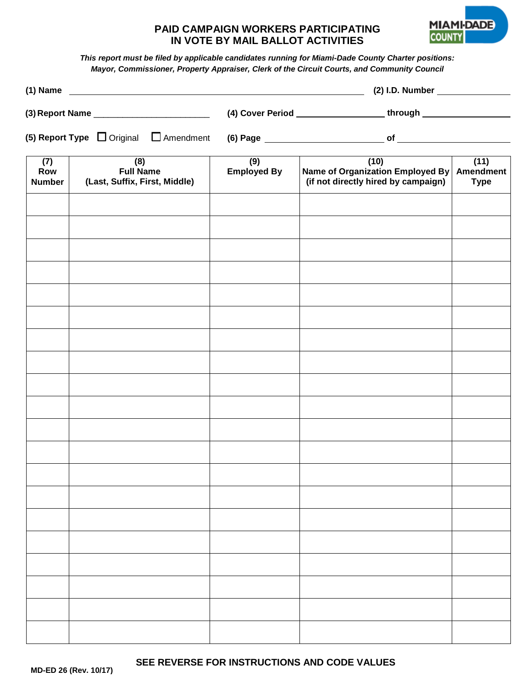## **PAID CAMPAIGN WORKERS PARTICIPATING IN VOTE BY MAIL BALLOT ACTIVITIES**



*This report must be filed by applicable candidates running for Miami-Dade County Charter positions: Mayor, Commissioner, Property Appraiser, Clerk of the Circuit Courts, and Community Council*

|                                                  |                                                          | (1) Name $\frac{1}{2}$    |                                                                                           |                     |  |
|--------------------------------------------------|----------------------------------------------------------|---------------------------|-------------------------------------------------------------------------------------------|---------------------|--|
|                                                  |                                                          |                           | (4) Cover Period _________________________through ______________________________          |                     |  |
| (5) Report Type $\Box$ Original $\Box$ Amendment |                                                          |                           |                                                                                           |                     |  |
| (7)<br>Row<br><b>Number</b>                      | (8)<br><b>Full Name</b><br>(Last, Suffix, First, Middle) | (9)<br><b>Employed By</b> | (10)<br>Name of Organization Employed By Amendment<br>(if not directly hired by campaign) | (11)<br><b>Type</b> |  |
|                                                  |                                                          |                           |                                                                                           |                     |  |
|                                                  |                                                          |                           |                                                                                           |                     |  |
|                                                  |                                                          |                           |                                                                                           |                     |  |
|                                                  |                                                          |                           |                                                                                           |                     |  |
|                                                  |                                                          |                           |                                                                                           |                     |  |
|                                                  |                                                          |                           |                                                                                           |                     |  |
|                                                  |                                                          |                           |                                                                                           |                     |  |
|                                                  |                                                          |                           |                                                                                           |                     |  |
|                                                  |                                                          |                           |                                                                                           |                     |  |
|                                                  |                                                          |                           |                                                                                           |                     |  |
|                                                  |                                                          |                           |                                                                                           |                     |  |
|                                                  |                                                          |                           |                                                                                           |                     |  |
|                                                  |                                                          |                           |                                                                                           |                     |  |
|                                                  |                                                          |                           |                                                                                           |                     |  |
|                                                  |                                                          |                           |                                                                                           |                     |  |
|                                                  |                                                          |                           |                                                                                           |                     |  |
|                                                  |                                                          |                           |                                                                                           |                     |  |
|                                                  |                                                          |                           |                                                                                           |                     |  |
|                                                  |                                                          |                           |                                                                                           |                     |  |

**SEE REVERSE FOR INSTRUCTIONS AND CODE VALUES**